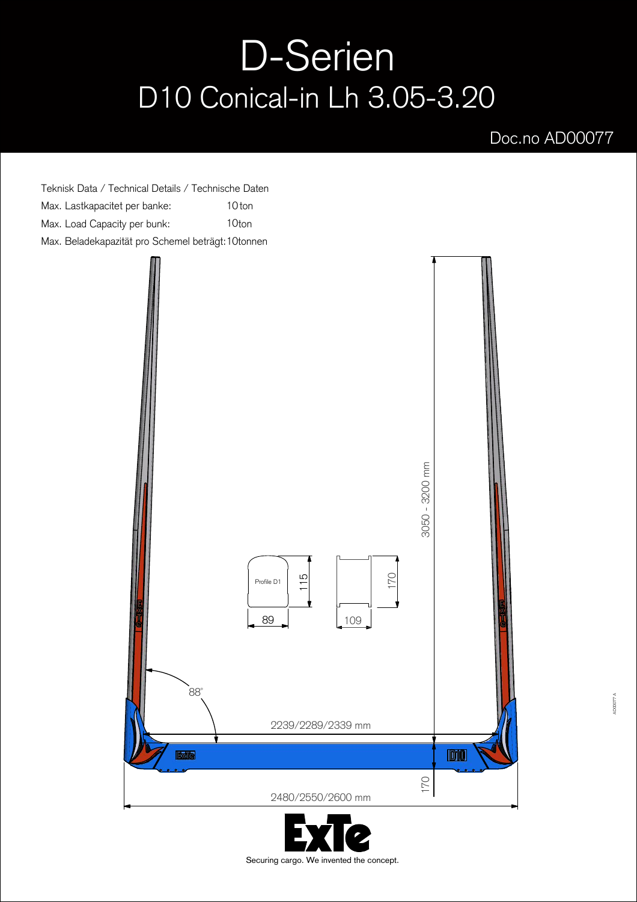## D-Serien D10 Conical-in Lh 3.05-3.20

## Doc.no AD00077

Teknisk Data / Technical Details / Technische Daten Max. Lastkapacitet per banke: 10 ton Max. Load Capacity per bunk: 10ton Max. Beladekapazität pro Schemel beträgt: 10tonnen



Securing cargo. We invented the concept.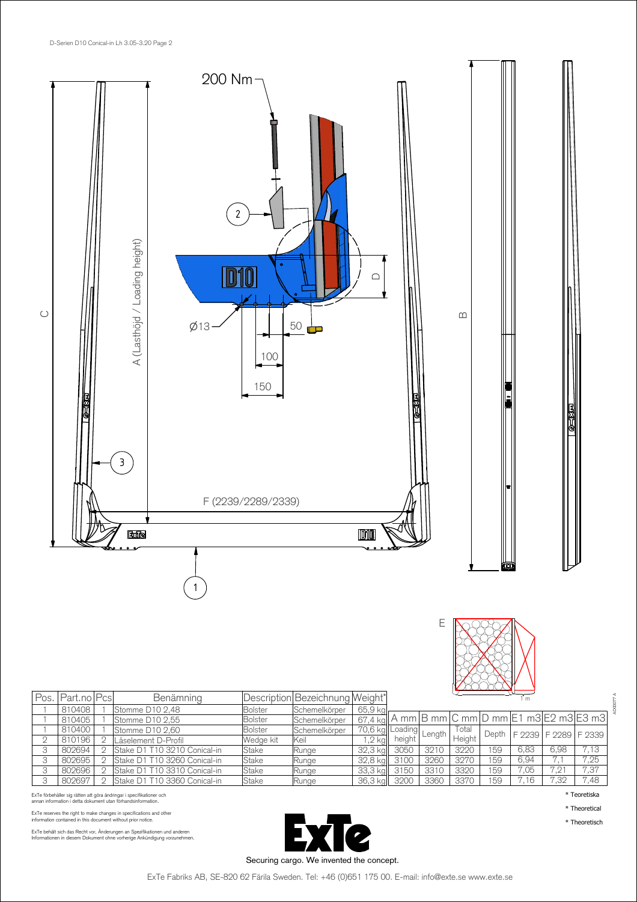



| Pos. | I Part.no IPcsI | Benämning                    |                | Description Bezeichnung Weight* |                 |        |        |        |       |      |      |                                       |
|------|-----------------|------------------------------|----------------|---------------------------------|-----------------|--------|--------|--------|-------|------|------|---------------------------------------|
|      | 810408          | Stomme D10 2,48              | <b>Bolster</b> | Schemelkörper                   | 65,9 kg         |        |        |        |       |      |      |                                       |
|      | 810405          | Stomme D10 2,55              | <b>Bolster</b> | Schemelkörper                   | 67.4 kall       |        |        |        |       |      |      | A mm B mm C mm D mm E1 m3 E2 m3 E3 m3 |
|      | 810400          | Stomme D10 2,60              | <b>Bolster</b> | Schemelkörper                   | 70,6 kg Loading |        | Length | l otal | Depth |      |      | F 2239   F 2289   F 2339              |
|      | 810196          | Låselement D-Profil          | Wedge kit      | Keil                            | $,2$ kg         | height |        | Height |       |      |      |                                       |
|      | 802694          | Stake D1 T10 3210 Conical-in | Stake          | Runge                           | 32.3 ka         | 3050   | 3210   | 3220   | 59    | 6,83 | 6,98 | 7.13                                  |
|      | 802695          | Stake D1 T10 3260 Conical-in | Stake          | Runge                           | 32,8 kg         | 3100   | 3260   | 3270   | 159   | 6.94 |      | 7.25                                  |
|      | 802696          | Stake D1 T10 3310 Conical-in | Stake          | Runge                           | 33,3 kg         | 3150   | 3310   | 3320   | 159   | 7.05 | 7.21 | 7,37                                  |
|      | 802697          | Stake D1 T10 3360 Conical-in | Stake          | Runge                           | 36,3 kg         | 3200   | 3360   | 3370   | 59    | 7.16 | 7,32 | 7,48                                  |

ExTe förbehåller sig rätten att göra ändringar i specifikationer och<br>annan information i detta dokument utan förhandsinformation.

ExTe reserves the right to make changes in specifications and other information contained in this document without prior notice.

ExTe behält sich das Recht vor, Änderungen an Spezifikationen und anderen<br>Informationen in diesem Dokument ohne vorherige Ankündigung vorzunehmen.



AD00077 A

\* Teoretiska

\* Theoretical \* Theoretisch

Securing cargo. We invented the concept.